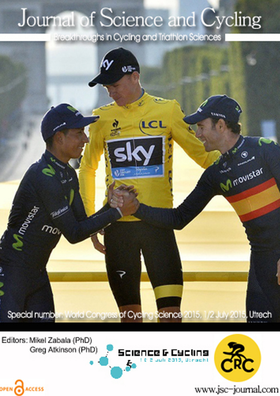## Journal of Science and Cycling

Breakthroughs in Cycling and Triathlon Sciences



Editors: Mikel Zabala (PhD) Greg Atkinson (PhD)

OPEN CACCESS





www.jsc-journal.com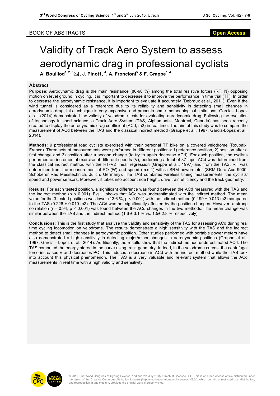## BOOK OF ABSTRACTS **Open Access**

## Validity of Track Aero System to assess aerodynamic drag in professional cyclists

**A. Bouillod1, 2, 3**\***, J. Pinot1, <sup>4</sup> , A. Froncioni<sup>5</sup> & F. Grappe1, 4**

## **Abstract**

**Purpose**: Aerodynamic drag is the main resistance (80-90 %) among the total resistive forces (RT, N) opposing motion on level ground in cycling. It is important to decrease it to improve the performance in time trial (TT). In order to decrease the aerodynamic resistance, it is important to evaluate it accurately (Debraux et al., 2011). Even if the wind tunnel is considered as a reference due to its reliability and sensitivity in detecting small changes in aerodynamic drag, this technique is very expensive and presents some methodological limitations. Garcia--**‐**Lopez et al. (2014) demonstrated the validity of velodrome tests for evaluating aerodynamic drag. Following the evolution of technology in sport science, a Track Aero System (TAS, Alphamantis, Montreal, Canada) has been recently created to display the aerodynamic drag coefficient (ACd, m2) in real time. The aim of this study was to compare the measurement of ACd between the TAS and the classical indirect method (Grappe et al., 1997; Garcia-Lopez et al., 2014).

**Methods**: 9 professional road cyclists exercised with their personal TT bike on a covered velodrome (Roubaix, France). Three sets of measurements were performed in different positions: 1) reference position, 2) position after a first change and 3) position after a second change (to try to again decrease ACd). For each position, the cyclists performed an incremental exercise at different speeds (V), performing a total of 37 laps. ACd was determined from the classical indirect method with the RT**‐**V2 linear regression (Grappe et al., 1997) and from the TAS. RT was determined from the measurement of PO (W) and speed (m.s-1) with a SRM powermeter (SRM Dura Ace 9000, Schoberer Rad Messtechnich, Julich, Germany). The TAS combined wireless timing measurements, the cyclists' speed and power sensors. Moreover, it takes into account ride height, drive train efficiency and the track geometry.

**Results**: For each tested position, a significant difference was found between the ACd measured with the TAS and the indirect method ( $p < 0.001$ ). Fig. 1 shows that ACd was underestimated with the indirect method. The mean value for the 3 tested positions was lower (13.6 %,  $p < 0.001$ ) with the indirect method (0.199 ± 0.013 m2) compared to the TAS (0.226 ± 0.010 m2). The ACd was not significantly affected by the position changes. However, a strong correlation (r = 0.94, p < 0.001) was found between the ACd changes in the two methods. The mean change was similar between the TAS and the indirect method (1.6 ± 3.1 % vs. 1.5± 2.8 % respectively).

**Conclusions**: This is the first study that analyse the validity and sensitivity of the TAS for assessing ACd during real time cycling locomotion on velodrome. The results demonstrate a high sensitivity with the TAS and the indirect method to detect small changes in aerodynamic position. Other studies performed with portable power meters have also demonstrated a high sensitivity in detecting major/minor changes in aerodynamic positions (Grappe et al., 1997; Garcia--**‐**Lopez et al., 2014). Additionally, the results show that the indirect method underestimated ACd. The TAS computed the energy stored in the curve using track geometry. Indeed, in the velodrome curves, the centrifugal force increases V and decreases PO. This induces a decrease in ACd with the indirect method while the TAS took into account this physical phenomenon. The TAS is a very valuable and relevant system that allows the ACd measurements in real time with a high validity and sensitivity.